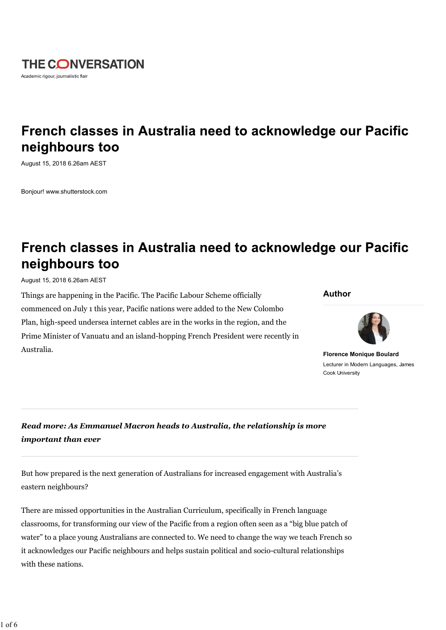

# French classes in Australia need to acknowledge our Pacific neighbours too

August 15, 2018 6.26am AEST

Bonjour! www.shutterstock.com

# French classes in Australia need to acknowledge our Pacific neighbours too

August 15, 2018 6.26am AEST

Things are happening in the Pacific. The Pacific Labour Scheme officially commenced on July 1 this year, Pacific nations were added to the New Colombo Plan, high-speed undersea internet cables are in the works in the region, and the Prime Minister of Vanuatu and an island-hopping French President were recently in Australia.

#### **Author**



**Florence Monique Boulard** Lecturer in Modern Languages, James Cook University

*Read more: As Emmanuel Macron heads to Australia, the relationship is more important than ever*

But how prepared is the next generation of Australians for increased engagement with Australia's eastern neighbours?

There are missed opportunities in the Australian Curriculum, specifically in French language classrooms, for transforming our view of the Pacific from a region often seen as a "big blue patch of water" to a place young Australians are connected to. We need to change the way we teach French so it acknowledges our Pacific neighbours and helps sustain political and socio-cultural relationships with these nations.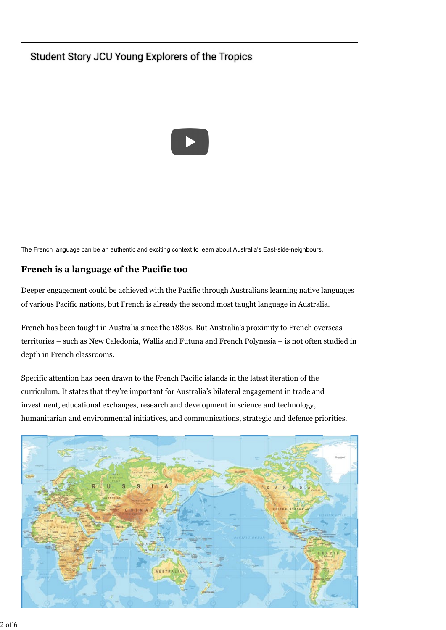

The French language can be an authentic and exciting context to learn about Australia's East-side-neighbours.

## **French is a language of the Pacific too**

Deeper engagement could be achieved with the Pacific through Australians learning native languages of various Pacific nations, but French is already the second most taught language in Australia.

French has been taught in Australia since the 1880s. But Australia's proximity to French overseas territories – such as New Caledonia, Wallis and Futuna and French Polynesia – is not often studied in depth in French classrooms.

Specific attention has been drawn to the French Pacific islands in the latest iteration of the curriculum. It states that they're important for Australia's bilateral engagement in trade and investment, educational exchanges, research and development in science and technology, humanitarian and environmental initiatives, and communications, strategic and defence priorities.

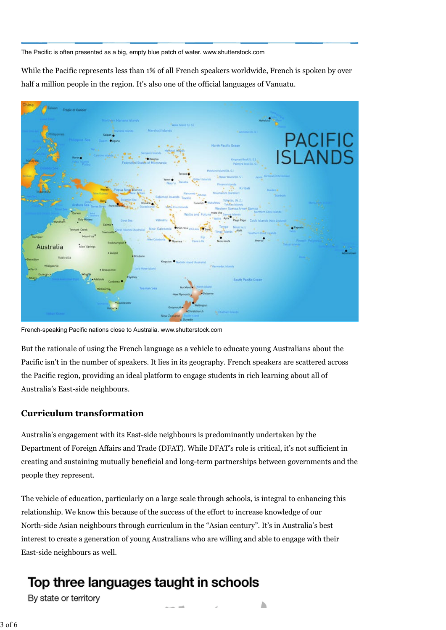The Pacific is often presented as a big, empty blue patch of water. www.shutterstock.com

While the Pacific represents less than 1% of all French speakers worldwide, French is spoken by over half a million people in the region. It's also one of the official languages of Vanuatu.



French-speaking Pacific nations close to Australia. www.shutterstock.com

But the rationale of using the French language as a vehicle to educate young Australians about the Pacific isn't in the number of speakers. It lies in its geography. French speakers are scattered across the Pacific region, providing an ideal platform to engage students in rich learning about all of Australia's East-side neighbours.

### **Curriculum transformation**

Australia's engagement with its East-side neighbours is predominantly undertaken by the Department of Foreign Affairs and Trade (DFAT). While DFAT's role is critical, it's not sufficient in creating and sustaining mutually beneficial and long-term partnerships between governments and the people they represent.

The vehicle of education, particularly on a large scale through schools, is integral to enhancing this relationship. We know this because of the success of the effort to increase knowledge of our North-side Asian neighbours through curriculum in the "Asian century". It's in Australia's best interest to create a generation of young Australians who are willing and able to engage with their East-side neighbours as well.

# Top three languages taught in schools

By state or territory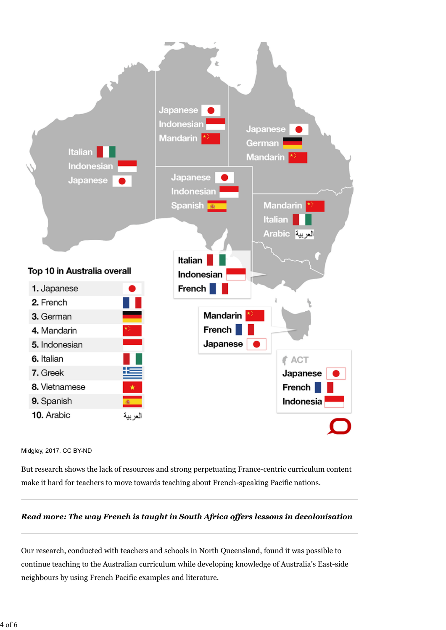

#### Midgley, 2017, CC BY-ND

But research shows the lack of resources and strong perpetuating France-centric curriculum content make it hard for teachers to move towards teaching about French-speaking Pacific nations.

#### *Read more: The way French is taught in South Africa offers lessons in decolonisation*

Our research, conducted with teachers and schools in North Queensland, found it was possible to continue teaching to the Australian curriculum while developing knowledge of Australia's East-side neighbours by using French Pacific examples and literature.